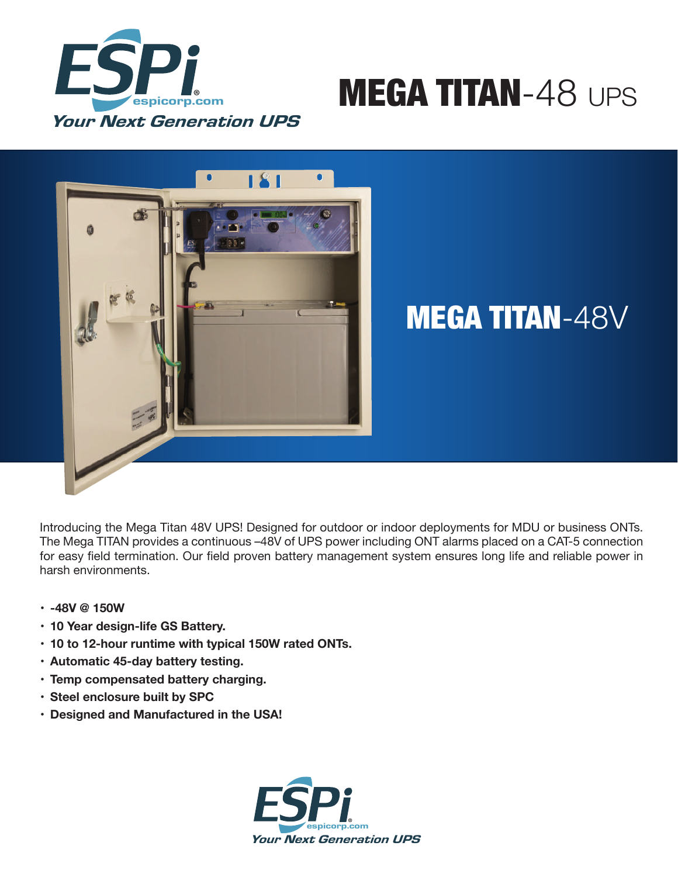

# MEGA TITAN-48 UPS



## MEGA TITAN-48V

Introducing the Mega Titan 48V UPS! Designed for outdoor or indoor deployments for MDU or business ONTs. The Mega TITAN provides a continuous –48V of UPS power including ONT alarms placed on a CAT-5 connection for easy field termination. Our field proven battery management system ensures long life and reliable power in harsh environments.

- **• -48V @ 150W**
- **• 10 Year design-life GS Battery.**
- **• 10 to 12-hour runtime with typical 150W rated ONTs.**
- **• Automatic 45-day battery testing.**
- **• Temp compensated battery charging.**
- **• Steel enclosure built by SPC**
- **• Designed and Manufactured in the USA!**